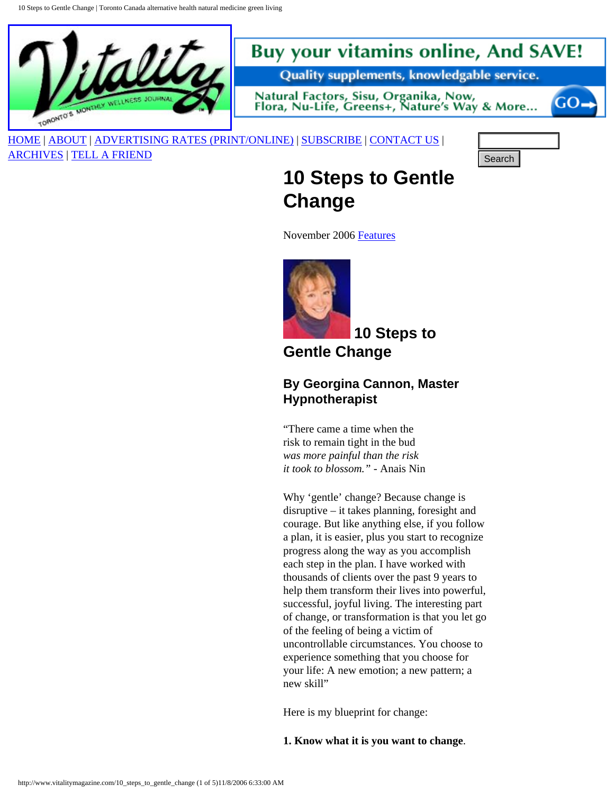10 Steps to Gentle Change | Toronto Canada alternative health natural medicine green living



# **Buy your vitamins online, And SAVE!**

Quality supplements, knowledgable service.

Natural Factors, Sisu, Organika, Now, Flora, Nu-Life, Greens+, Nature's Way & More...

[HOME](http://www.vitalitymagazine.com/index.php) | [ABOUT](http://www.vitalitymagazine.com/node/view/12) | [ADVERTISING RATES \(PRINT/ONLINE\)](http://www.vitalitymagazine.com/node/view/13) | [SUBSCRIBE](http://www.vitalitymagazine.com/node/view/15) | [CONTACT US](http://www.vitalitymagazine.com/node/view/98) |

[ARCHIVES](http://www.vitalitymagazine.com/node/view/16) | [TELL A FRIEND](http://www.vitalitymagazine.com/tell/index.php)



GO-

# **10 Steps to Gentle Change**

November 2006 [Features](http://www.vitalitymagazine.com/taxonomy/term/6)



 **10 Steps to** 

**Gentle Change** 

### **By Georgina Cannon, Master Hypnotherapist**

"There came a time when the risk to remain tight in the bud *was more painful than the risk it took to blossom."* - Anais Nin

Why 'gentle' change? Because change is disruptive – it takes planning, foresight and courage. But like anything else, if you follow a plan, it is easier, plus you start to recognize progress along the way as you accomplish each step in the plan. I have worked with thousands of clients over the past 9 years to help them transform their lives into powerful, successful, joyful living. The interesting part of change, or transformation is that you let go of the feeling of being a victim of uncontrollable circumstances. You choose to experience something that you choose for your life: A new emotion; a new pattern; a new skill" **10. Steps. to. Gentle**<br> **Change**<br>
November 2006 <u>Beauses</u><br>
November 2006 <u>Beauses</u><br>
10. Steps. to<br>
10. Steps. to<br>
10. Steps. to<br>
10. Steps. to<br>
10. Steps. to<br>
10. Steps. to<br>
They contribute Change (1 of 1 of 5)<br>
They con

Here is my blueprint for change:

**1. Know what it is you want to change**.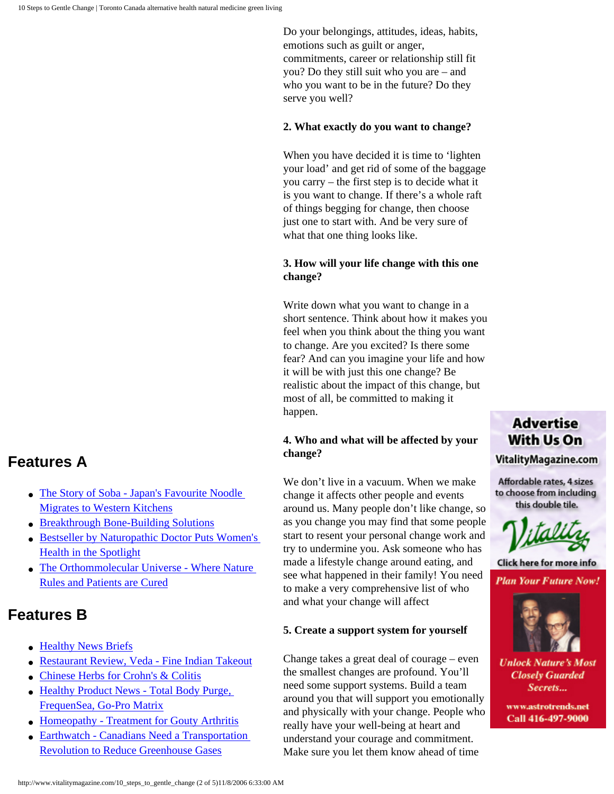Do your belongings, attitudes, ideas, habits, emotions such as guilt or anger, commitments, career or relationship still fit you? Do they still suit who you are – and who you want to be in the future? Do they serve you well?

#### **2. What exactly do you want to change?**

When you have decided it is time to 'lighten your load' and get rid of some of the baggage you carry – the first step is to decide what it is you want to change. If there's a whole raft of things begging for change, then choose just one to start with. And be very sure of what that one thing looks like.

#### **3. How will your life change with this one change?**

Write down what you want to change in a short sentence. Think about how it makes you feel when you think about the thing you want to change. Are you excited? Is there some fear? And can you imagine your life and how it will be with just this one change? Be realistic about the impact of this change, but most of all, be committed to making it happen.

#### **4. Who and what will be affected by your change?**

We don't live in a vacuum. When we make change it affects other people and events around us. Many people don't like change, so as you change you may find that some people start to resent your personal change work and try to undermine you. Ask someone who has made a lifestyle change around eating, and see what happened in their family! You need to make a very comprehensive list of who and what your change will affect

#### **5. Create a support system for yourself**

Change takes a great deal of courage – even the smallest changes are profound. You'll need some support systems. Build a team around you that will support you emotionally and physically with your change. People who really have your well-being at heart and understand your courage and commitment. Make sure you let them know ahead of time

### **Advertise** With Us On VitalityMagazine.com

Affordable rates, 4 sizes to choose from including this double tile.



Click here for more info **Plan Your Future Now!** 



**Unlock Nature's Most Closely Guarded** Secrets...

www.astrotrends.net Call 416-497-9000

## **Features A**

- The Story of Soba Japan's Favourite Noodle [Migrates to Western Kitchens](http://www.vitalitymagazine.com/node/view/1020)
- [Breakthrough Bone-Building Solutions](http://www.vitalitymagazine.com/node/view/1007)
- [Bestseller by Naturopathic Doctor Puts Women's](http://www.vitalitymagazine.com/node/view/1006) [Health in the Spotlight](http://www.vitalitymagazine.com/node/view/1006)
- The Orthommolecular Universe Where Nature [Rules and Patients are Cured](http://www.vitalitymagazine.com/node/view/1005)

## **Features B**

- [Healthy News Briefs](http://www.vitalitymagazine.com/node/view/1038)
- [Restaurant Review, Veda Fine Indian Takeout](http://www.vitalitymagazine.com/node/view/1029)
- [Chinese Herbs for Crohn's & Colitis](http://www.vitalitymagazine.com/node/view/1028)
- Healthy Product News Total Body Purge, [FrequenSea, Go-Pro Matrix](http://www.vitalitymagazine.com/node/view/1027)
- [Homeopathy Treatment for Gouty Arthritis](http://www.vitalitymagazine.com/node/view/1026)
- [Earthwatch Canadians Need a Transportation](http://www.vitalitymagazine.com/node/view/1025) [Revolution to Reduce Greenhouse Gases](http://www.vitalitymagazine.com/node/view/1025)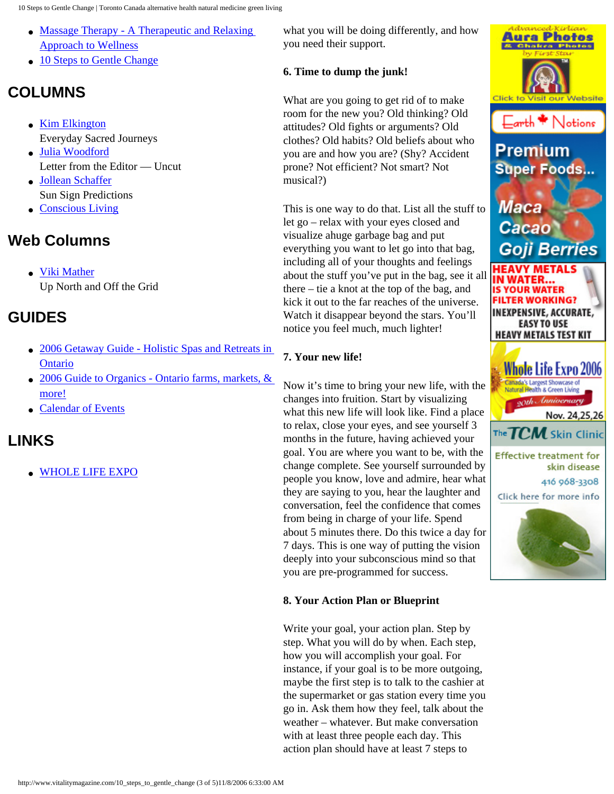10 Steps to Gentle Change | Toronto Canada alternative health natural medicine green living

- [Massage Therapy A Therapeutic and Relaxing](http://www.vitalitymagazine.com/node/view/1024) [Approach to Wellness](http://www.vitalitymagazine.com/node/view/1024)
- [10 Steps to Gentle Change](http://www.vitalitymagazine.com/node/view/1022)

# **COLUMNS**

- [Kim Elkington](http://www.vitalitymagazine.com/node/view/1030) Everyday Sacred Journeys
- [Julia Woodford](http://www.vitalitymagazine.com/node/view/1031) Letter from the Editor — Uncut
- [Jollean Schaffer](http://www.vitalitymagazine.com/node/view/1034) Sun Sign Predictions
- [Conscious Living](http://www.vitalitymagazine.com/node/view/1023)

# **Web Columns**

● [Viki Mather](http://www.vitalitymagazine.com/node/view/1032) Up North and Off the Grid

# **GUIDES**

- 2006 Getaway Guide Holistic Spas and Retreats in **[Ontario](http://www.vitalitymagazine.com/node/view/865)**
- 2006 Guide to Organics Ontario farms, markets, & [more!](http://www.vitalitymagazine.com/node/view/915)
- [Calendar of Events](http://www.vitalitymagazine.com/node/view/940)

# **LINKS**

● [WHOLE LIFE EXPO](http://www.wholelifecanada.com/)

what you will be doing differently, and how you need their support.

### **6. Time to dump the junk!**

What are you going to get rid of to make room for the new you? Old thinking? Old attitudes? Old fights or arguments? Old clothes? Old habits? Old beliefs about who you are and how you are? (Shy? Accident prone? Not efficient? Not smart? Not musical?)

This is one way to do that. List all the stuff to let go – relax with your eyes closed and visualize ahuge garbage bag and put everything you want to let go into that bag, including all of your thoughts and feelings about the stuff you've put in the bag, see it all there – tie a knot at the top of the bag, and kick it out to the far reaches of the universe. Watch it disappear beyond the stars. You'll notice you feel much, much lighter!

### **7. Your new life!**

Now it's time to bring your new life, with the changes into fruition. Start by visualizing what this new life will look like. Find a place to relax, close your eyes, and see yourself 3 months in the future, having achieved your goal. You are where you want to be, with the change complete. See yourself surrounded by people you know, love and admire, hear what they are saying to you, hear the laughter and conversation, feel the confidence that comes from being in charge of your life. Spend about 5 minutes there. Do this twice a day for 7 days. This is one way of putting the vision deeply into your subconscious mind so that you are pre-programmed for success.

### **8. Your Action Plan or Blueprint**

Write your goal, your action plan. Step by step. What you will do by when. Each step, how you will accomplish your goal. For instance, if your goal is to be more outgoing, maybe the first step is to talk to the cashier at the supermarket or gas station every time you go in. Ask them how they feel, talk about the weather – whatever. But make conversation with at least three people each day. This action plan should have at least 7 steps to

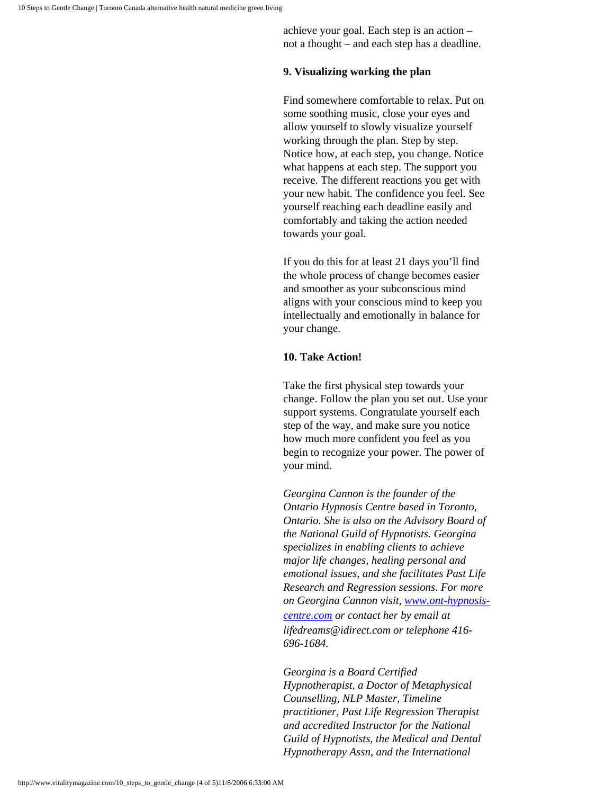achieve your goal. Each step is an action – not a thought – and each step has a deadline.

#### **9. Visualizing working the plan**

Find somewhere comfortable to relax. Put on some soothing music, close your eyes and allow yourself to slowly visualize yourself working through the plan. Step by step. Notice how, at each step, you change. Notice what happens at each step. The support you receive. The different reactions you get with your new habit. The confidence you feel. See yourself reaching each deadline easily and comfortably and taking the action needed towards your goal.

If you do this for at least 21 days you'll find the whole process of change becomes easier and smoother as your subconscious mind aligns with your conscious mind to keep you intellectually and emotionally in balance for your change.

#### **10. Take Action!**

Take the first physical step towards your change. Follow the plan you set out. Use your support systems. Congratulate yourself each step of the way, and make sure you notice how much more confident you feel as you begin to recognize your power. The power of your mind.

*Georgina Cannon is the founder of the Ontario Hypnosis Centre based in Toronto, Ontario. She is also on the Advisory Board of the National Guild of Hypnotists. Georgina specializes in enabling clients to achieve major life changes, healing personal and emotional issues, and she facilitates Past Life Research and Regression sessions. For more on Georgina Cannon visit, [www.ont-hypnosis](http://www.ont-hypnosis-centre.com/)[centre.com](http://www.ont-hypnosis-centre.com/) or contact her by email at lifedreams@idirect.com or telephone 416- 696-1684.* 

*Georgina is a Board Certified Hypnotherapist, a Doctor of Metaphysical Counselling, NLP Master, Timeline practitioner, Past Life Regression Therapist and accredited Instructor for the National Guild of Hypnotists, the Medical and Dental Hypnotherapy Assn, and the International*